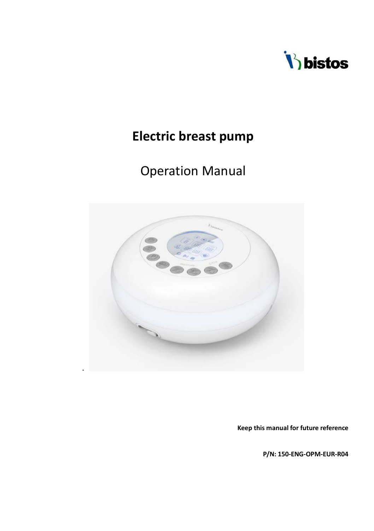

# **Electric breast pump**

# Operation Manual



**Keep this manual for future reference**

**P/N: 150-ENG-OPM-EUR-R04**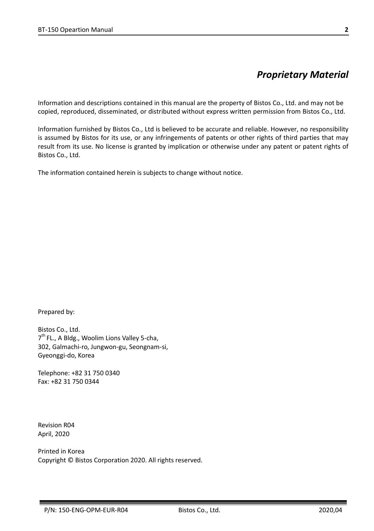# *Proprietary Material*

Information and descriptions contained in this manual are the property of Bistos Co., Ltd. and may not be copied, reproduced, disseminated, or distributed without express written permission from Bistos Co., Ltd.

Information furnished by Bistos Co., Ltd is believed to be accurate and reliable. However, no responsibility is assumed by Bistos for its use, or any infringements of patents or other rights of third parties that may result from its use. No license is granted by implication or otherwise under any patent or patent rights of Bistos Co., Ltd.

The information contained herein is subjects to change without notice.

Prepared by:

Bistos Co., Ltd. 7<sup>th</sup> FL., A Bldg., Woolim Lions Valley 5-cha, 302, Galmachi-ro, Jungwon-gu, Seongnam-si, Gyeonggi-do, Korea

Telephone: +82 31 750 0340 Fax: +82 31 750 0344

Revision R04 April, 2020

Printed in Korea Copyright © Bistos Corporation 2020. All rights reserved.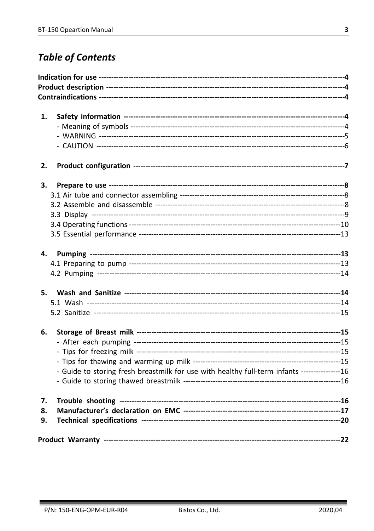# **Table of Contents**

| 1. |                                                                                               |  |
|----|-----------------------------------------------------------------------------------------------|--|
|    |                                                                                               |  |
|    |                                                                                               |  |
|    |                                                                                               |  |
| 2. |                                                                                               |  |
| З. |                                                                                               |  |
|    |                                                                                               |  |
|    |                                                                                               |  |
|    |                                                                                               |  |
|    |                                                                                               |  |
|    |                                                                                               |  |
| 4. |                                                                                               |  |
|    |                                                                                               |  |
|    |                                                                                               |  |
| 5. |                                                                                               |  |
|    |                                                                                               |  |
|    |                                                                                               |  |
| 6. |                                                                                               |  |
|    |                                                                                               |  |
|    |                                                                                               |  |
|    |                                                                                               |  |
|    | - Guide to storing fresh breastmilk for use with healthy full-term infants ----------------16 |  |
|    |                                                                                               |  |
| 7. |                                                                                               |  |
| 8. |                                                                                               |  |
| 9. |                                                                                               |  |
|    |                                                                                               |  |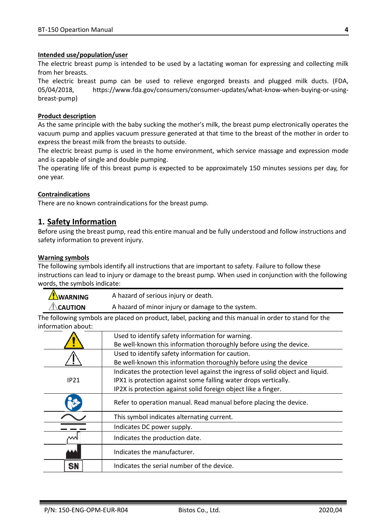#### **Intended use/population/user**

The electric breast pump is intended to be used by a lactating woman for expressing and collecting milk from her breasts.

The electric breast pump can be used to relieve engorged breasts and plugged milk ducts. (FDA, 05/04/2018, https://www.fda.gov/consumers/consumer-updates/what-know-when-buying-or-usingbreast-pump)

#### **Product description**

As the same principle with the baby sucking the mother's milk, the breast pump electronically operates the vacuum pump and applies vacuum pressure generated at that time to the breast of the mother in order to express the breast milk from the breasts to outside.

The electric breast pump is used in the home environment, which service massage and expression mode and is capable of single and double pumping.

The operating life of this breast pump is expected to be approximately 150 minutes sessions per day, for one year.

#### **Contraindications**

There are no known contraindications for the breast pump.

#### **1. Safety Information**

Before using the breast pump, read this entire manual and be fully understood and follow instructions and safety information to prevent injury.

#### **Warning symbols**

The following symbols identify all instructions that are important to safety. Failure to follow these instructions can lead to injury or damage to the breast pump. When used in conjunction with the following words, the symbols indicate:

| <b>AWARNING</b>     | A hazard of serious injury or death.              |
|---------------------|---------------------------------------------------|
| $\triangle$ Caution | A hazard of minor injury or damage to the system. |

The following symbols are placed on product, label, packing and this manual in order to stand for the information about:

|                                            | Used to identify safety information for warning.                               |  |  |  |
|--------------------------------------------|--------------------------------------------------------------------------------|--|--|--|
|                                            | Be well-known this information thoroughly before using the device.             |  |  |  |
|                                            | Used to identify safety information for caution.                               |  |  |  |
|                                            | Be well-known this information thoroughly before using the device              |  |  |  |
|                                            | Indicates the protection level against the ingress of solid object and liquid. |  |  |  |
| IP21                                       | IPX1 is protection against some falling water drops vertically.                |  |  |  |
|                                            | IP2X is protection against solid foreign object like a finger.                 |  |  |  |
|                                            | Refer to operation manual. Read manual before placing the device.              |  |  |  |
| This symbol indicates alternating current. |                                                                                |  |  |  |
|                                            | Indicates DC power supply.                                                     |  |  |  |
| Indicates the production date.             |                                                                                |  |  |  |
|                                            | Indicates the manufacturer.                                                    |  |  |  |
| SN                                         | Indicates the serial number of the device.                                     |  |  |  |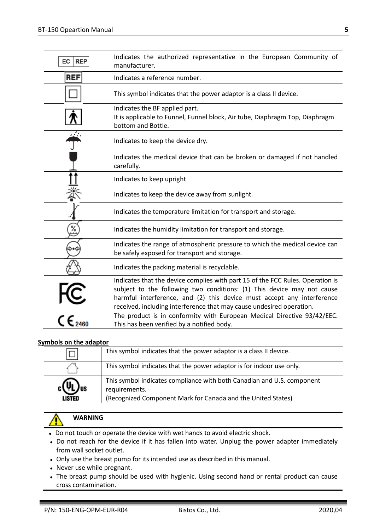| EC<br><b>REP</b>                      | Indicates the authorized representative in the European Community of<br>manufacturer.                                                                                                                                                                                                                      |
|---------------------------------------|------------------------------------------------------------------------------------------------------------------------------------------------------------------------------------------------------------------------------------------------------------------------------------------------------------|
| <b>REF</b>                            | Indicates a reference number.                                                                                                                                                                                                                                                                              |
|                                       | This symbol indicates that the power adaptor is a class II device.                                                                                                                                                                                                                                         |
|                                       | Indicates the BF applied part.<br>It is applicable to Funnel, Funnel block, Air tube, Diaphragm Top, Diaphragm<br>bottom and Bottle.                                                                                                                                                                       |
|                                       | Indicates to keep the device dry.                                                                                                                                                                                                                                                                          |
|                                       | Indicates the medical device that can be broken or damaged if not handled<br>carefully.                                                                                                                                                                                                                    |
|                                       | Indicates to keep upright                                                                                                                                                                                                                                                                                  |
|                                       | Indicates to keep the device away from sunlight.                                                                                                                                                                                                                                                           |
|                                       | Indicates the temperature limitation for transport and storage.                                                                                                                                                                                                                                            |
| %                                     | Indicates the humidity limitation for transport and storage.                                                                                                                                                                                                                                               |
|                                       | Indicates the range of atmospheric pressure to which the medical device can<br>be safely exposed for transport and storage.                                                                                                                                                                                |
|                                       | Indicates the packing material is recyclable.                                                                                                                                                                                                                                                              |
|                                       | Indicates that the device complies with part 15 of the FCC Rules. Operation is<br>subject to the following two conditions: (1) This device may not cause<br>harmful interference, and (2) this device must accept any interference<br>received, including interference that may cause undesired operation. |
| $\frac{1}{\zeta}$ C $\zeta_{_{2460}}$ | The product is in conformity with European Medical Directive 93/42/EEC.<br>This has been verified by a notified body.                                                                                                                                                                                      |

#### **Symbols on the adaptor**

| This symbol indicates that the power adaptor is a class II device. |                                                                                                                                                         |
|--------------------------------------------------------------------|---------------------------------------------------------------------------------------------------------------------------------------------------------|
|                                                                    | This symbol indicates that the power adaptor is for indoor use only.                                                                                    |
| LISTED                                                             | This symbol indicates compliance with both Canadian and U.S. component<br>requirements.<br>(Recognized Component Mark for Canada and the United States) |

# **WARNING**

- Do not touch or operate the device with wet hands to avoid electric shock.
- Do not reach for the device if it has fallen into water. Unplug the power adapter immediately from wall socket outlet.
- Only use the breast pump for its intended use as described in this manual.
- Never use while pregnant.
- The breast pump should be used with hygienic. Using second hand or rental product can cause cross contamination.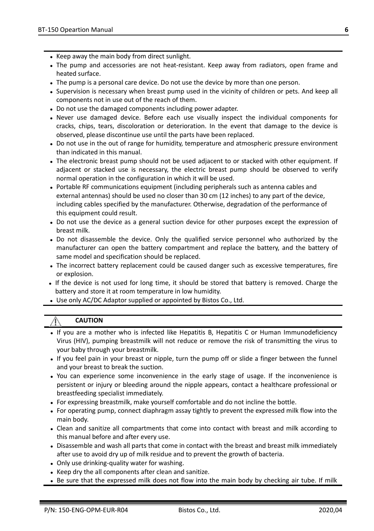- Keep away the main body from direct sunlight.
- The pump and accessories are not heat-resistant. Keep away from radiators, open frame and heated surface.
- The pump is a personal care device. Do not use the device by more than one person.
- Supervision is necessary when breast pump used in the vicinity of children or pets. And keep all components not in use out of the reach of them.
- Do not use the damaged components including power adapter.
- Never use damaged device. Before each use visually inspect the individual components for cracks, chips, tears, discoloration or deterioration. In the event that damage to the device is observed, please discontinue use until the parts have been replaced.
- Do not use in the out of range for humidity, temperature and atmospheric pressure environment than indicated in this manual.
- The electronic breast pump should not be used adjacent to or stacked with other equipment. If adjacent or stacked use is necessary, the electric breast pump should be observed to verify normal operation in the configuration in which it will be used.
- Portable RF communications equipment (including peripherals such as antenna cables and external antennas) should be used no closer than 30 cm (12 inches) to any part of the device, including cables specified by the manufacturer. Otherwise, degradation of the performance of this equipment could result.
- Do not use the device as a general suction device for other purposes except the expression of breast milk.
- Do not disassemble the device. Only the qualified service personnel who authorized by the manufacturer can open the battery compartment and replace the battery, and the battery of same model and specification should be replaced.
- The incorrect battery replacement could be caused danger such as excessive temperatures, fire or explosion.
- If the device is not used for long time, it should be stored that battery is removed. Charge the battery and store it at room temperature in low humidity.
- Use only AC/DC Adaptor supplied or appointed by Bistos Co., Ltd.

### **CAUTION**

- If you are a mother who is infected like Hepatitis B, Hepatitis C or Human Immunodeficiency Virus (HIV), pumping breastmilk will not reduce or remove the risk of transmitting the virus to your baby through your breastmilk.
- If you feel pain in your breast or nipple, turn the pump off or slide a finger between the funnel and your breast to break the suction.
- You can experience some inconvenience in the early stage of usage. If the inconvenience is persistent or injury or bleeding around the nipple appears, contact a healthcare professional or breastfeeding specialist immediately.
- For expressing breastmilk, make yourself comfortable and do not incline the bottle.
- For operating pump, connect diaphragm assay tightly to prevent the expressed milk flow into the main body.
- Clean and sanitize all compartments that come into contact with breast and milk according to this manual before and after every use.
- Disassemble and wash all parts that come in contact with the breast and breast milk immediately after use to avoid dry up of milk residue and to prevent the growth of bacteria.
- Only use drinking-quality water for washing.
- Keep dry the all components after clean and sanitize.
- Be sure that the expressed milk does not flow into the main body by checking air tube. If milk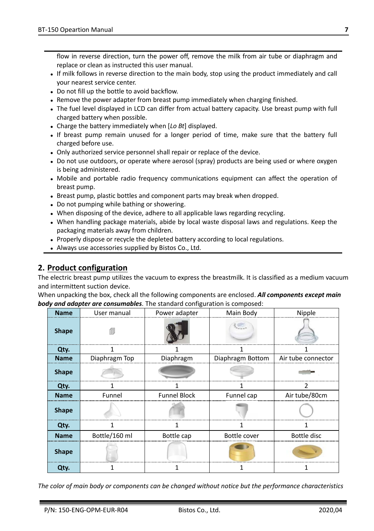flow in reverse direction, turn the power off, remove the milk from air tube or diaphragm and replace or clean as instructed this user manual.

- If milk follows in reverse direction to the main body, stop using the product immediately and call your nearest service center.
- Do not fill up the bottle to avoid backflow.
- Remove the power adapter from breast pump immediately when charging finished.
- The fuel level displayed in LCD can differ from actual battery capacity. Use breast pump with full charged battery when possible.
- Charge the battery immediately when [*Lo Bt*] displayed.
- If breast pump remain unused for a longer period of time, make sure that the battery full charged before use.
- Only authorized service personnel shall repair or replace of the device.
- Do not use outdoors, or operate where aerosol (spray) products are being used or where oxygen is being administered.
- Mobile and portable radio frequency communications equipment can affect the operation of breast pump.
- Breast pump, plastic bottles and component parts may break when dropped.
- Do not pumping while bathing or showering.
- When disposing of the device, adhere to all applicable laws regarding recycling.
- When handling package materials, abide by local waste disposal laws and regulations. Keep the packaging materials away from children.
- Properly dispose or recycle the depleted battery according to local regulations.
- Always use accessories supplied by Bistos Co., Ltd.

## **2. Product configuration**

The electric breast pump utilizes the vacuum to express the breastmilk. It is classified as a medium vacuum and intermittent suction device.

When unpacking the box, check all the following components are enclosed. *All components except main body and adapter are consumables*. The standard configuration is composed:

| <b>Name</b>  | User manual   | Power adapter       | Main Body        | Nipple             |
|--------------|---------------|---------------------|------------------|--------------------|
| <b>Shape</b> |               |                     |                  |                    |
| Qty.         |               |                     |                  |                    |
| <b>Name</b>  | Diaphragm Top | Diaphragm           | Diaphragm Bottom | Air tube connector |
| <b>Shape</b> |               |                     |                  |                    |
| Qty.         |               |                     |                  |                    |
| <b>Name</b>  | Funnel        | <b>Funnel Block</b> | Funnel cap       | Air tube/80cm      |
| <b>Shape</b> |               |                     |                  |                    |
| Qty.         |               |                     |                  |                    |
| <b>Name</b>  | Bottle/160 ml | Bottle cap          | Bottle cover     | Bottle disc        |
| <b>Shape</b> |               |                     |                  |                    |
| Qty.         |               |                     |                  |                    |

*The color of main body or components can be changed without notice but the performance characteristics*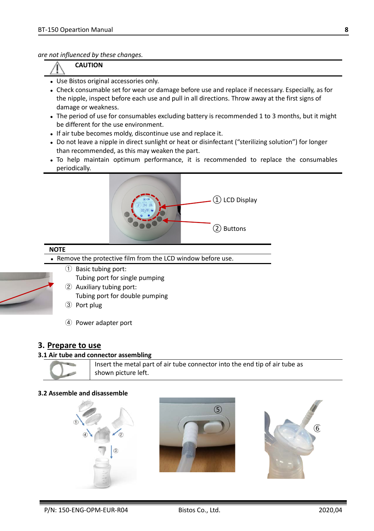*are not influenced by these changes.*

**CAUTION**

- Use Bistos original accessories only.
- Check consumable set for wear or damage before use and replace if necessary. Especially, as for the nipple, inspect before each use and pull in all directions. Throw away at the first signs of damage or weakness.
- The period of use for consumables excluding battery is recommended 1 to 3 months, but it might be different for the use environment.
- If air tube becomes moldy, discontinue use and replace it.
- Do not leave a nipple in direct sunlight or heat or disinfectant ("sterilizing solution") for longer than recommended, as this may weaken the part.
- To help maintain optimum performance, it is recommended to replace the consumables periodically.



#### **NOTE**

- Remove the protective film from the LCD window before use.
	- ① Basic tubing port: Tubing port for single pumping
	- ② Auxiliary tubing port: Tubing port for double pumping
	- ③ Port plug
	- ④ Power adapter port

### **3. Prepare to use**

#### **3.1 Air tube and connector assembling**



#### **3.2 Assemble and disassemble**





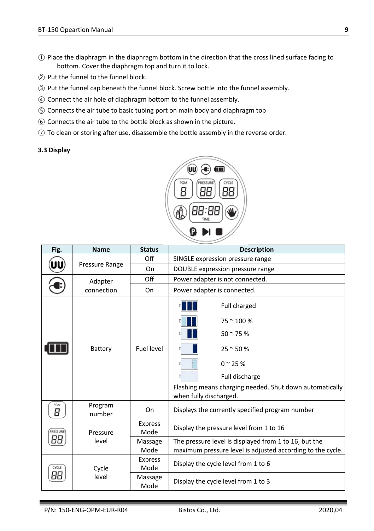- ① Place the diaphragm in the diaphragm bottom in the direction that the cross lined surface facing to bottom. Cover the diaphragm top and turn it to lock.
- ② Put the funnel to the funnel block.
- ③ Put the funnel cap beneath the funnel block. Screw bottle into the funnel assembly.
- ④ Connect the air hole of diaphragm bottom to the funnel assembly.
- ⑤ Connects the air tube to basic tubing port on main body and diaphragm top
- ⑥ Connects the air tube to the bottle block as shown in the picture.
- ⑦ To clean or storing after use, disassemble the bottle assembly in the reverse order.

#### **3.3 Display**



| Fig.     | <b>Name</b>                             | <b>Status</b>          | <b>Description</b>                                                                                                                                                                       |  |
|----------|-----------------------------------------|------------------------|------------------------------------------------------------------------------------------------------------------------------------------------------------------------------------------|--|
|          | Off<br>SINGLE expression pressure range |                        |                                                                                                                                                                                          |  |
|          | Pressure Range                          | On                     | DOUBLE expression pressure range                                                                                                                                                         |  |
|          | Adapter                                 | Off                    | Power adapter is not connected.                                                                                                                                                          |  |
|          | connection                              | On                     | Power adapter is connected.                                                                                                                                                              |  |
|          |                                         |                        | Full charged<br>$75 \approx 100 \%$                                                                                                                                                      |  |
|          |                                         |                        |                                                                                                                                                                                          |  |
|          | Battery                                 | Fuel level             | $25$ ~ 50 %                                                                                                                                                                              |  |
|          |                                         |                        | $50 - 75%$<br>$0^{\circ}$ 25 %<br>Full discharge<br>Flashing means charging needed. Shut down automatically<br>when fully discharged.<br>Displays the currently specified program number |  |
|          |                                         |                        |                                                                                                                                                                                          |  |
|          |                                         |                        |                                                                                                                                                                                          |  |
| PGM<br>8 | Program<br>number                       | On                     |                                                                                                                                                                                          |  |
| PRESSURE | Pressure                                | <b>Express</b><br>Mode | Display the pressure level from 1 to 16                                                                                                                                                  |  |
| 88       | level                                   | Massage                | The pressure level is displayed from 1 to 16, but the                                                                                                                                    |  |
|          |                                         | Mode                   | maximum pressure level is adjusted according to the cycle.                                                                                                                               |  |
| CYCLE    | Cycle                                   | <b>Express</b><br>Mode | Display the cycle level from 1 to 6                                                                                                                                                      |  |
| 88       | level                                   | Massage<br>Mode        | Display the cycle level from 1 to 3                                                                                                                                                      |  |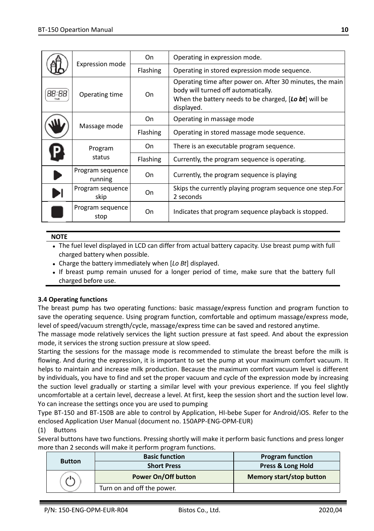|       |                             | On       | Operating in expression mode.                                                                                                                                           |
|-------|-----------------------------|----------|-------------------------------------------------------------------------------------------------------------------------------------------------------------------------|
|       | Expression mode             | Flashing | Operating in stored expression mode sequence.                                                                                                                           |
| 88:88 | Operating time              | On       | Operating time after power on. After 30 minutes, the main<br>body will turned off automatically.<br>When the battery needs to be charged, [Lo bt] will be<br>displayed. |
|       | Massage mode                | On       | Operating in massage mode                                                                                                                                               |
|       |                             | Flashing | Operating in stored massage mode sequence.                                                                                                                              |
|       | Program<br>status           | On       | There is an executable program sequence.                                                                                                                                |
|       |                             | Flashing | Currently, the program sequence is operating.                                                                                                                           |
|       | Program sequence<br>running | On       | Currently, the program sequence is playing                                                                                                                              |
|       | Program sequence<br>skip    | On       | Skips the currently playing program sequence one step. For<br>2 seconds                                                                                                 |
|       | Program sequence<br>stop    | On       | Indicates that program sequence playback is stopped.                                                                                                                    |

#### **NOTE**

 The fuel level displayed in LCD can differ from actual battery capacity. Use breast pump with full charged battery when possible.

- Charge the battery immediately when [*Lo Bt*] displayed.
- If breast pump remain unused for a longer period of time, make sure that the battery full charged before use.

#### **3.4 Operating functions**

The breast pump has two operating functions: basic massage/express function and program function to save the operating sequence. Using program function, comfortable and optimum massage/express mode, level of speed/vacuum strength/cycle, massage/express time can be saved and restored anytime.

The massage mode relatively services the light suction pressure at fast speed. And about the expression mode, it services the strong suction pressure at slow speed.

Starting the sessions for the massage mode is recommended to stimulate the breast before the milk is flowing. And during the expression, it is important to set the pump at your maximum comfort vacuum. It helps to maintain and increase milk production. Because the maximum comfort vacuum level is different by individuals, you have to find and set the proper vacuum and cycle of the expression mode by increasing the suction level gradually or starting a similar level with your previous experience. If you feel slightly uncomfortable at a certain level, decrease a level. At first, keep the session short and the suction level low. Yo can increase the settings once you are used to pumping

Type BT-150 and BT-150B are able to control by Application, HI-bebe Super for Android/iOS. Refer to the enclosed Application User Manual (document no. 150APP-ENG-OPM-EUR)

#### (1) Buttons

Several buttons have two functions. Pressing shortly will make it perform basic functions and press longer more than 2 seconds will make it perform program functions.

| <b>Button</b> | <b>Basic function</b>      | <b>Program function</b>  |
|---------------|----------------------------|--------------------------|
|               | <b>Short Press</b>         | Press & Long Hold        |
|               | Power On/Off button        | Memory start/stop button |
|               | Turn on and off the power. |                          |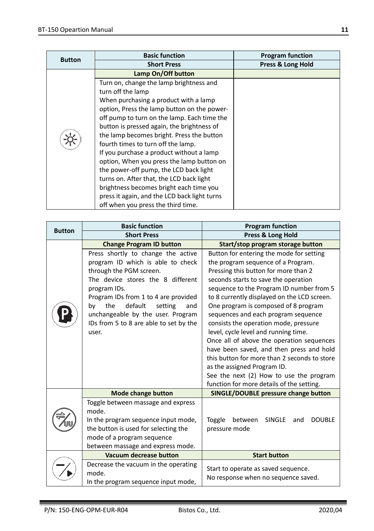| <b>Button</b> | <b>Basic function</b>                        | <b>Program function</b> |  |
|---------------|----------------------------------------------|-------------------------|--|
|               | <b>Short Press</b>                           | Press & Long Hold       |  |
|               | Lamp On/Off button                           |                         |  |
|               | Turn on, change the lamp brightness and      |                         |  |
|               | turn off the lamp                            |                         |  |
|               | When purchasing a product with a lamp        |                         |  |
|               | option, Press the lamp button on the power-  |                         |  |
|               | off pump to turn on the lamp. Each time the  |                         |  |
|               | button is pressed again, the brightness of   |                         |  |
|               | the lamp becomes bright. Press the button    |                         |  |
|               | fourth times to turn off the lamp.           |                         |  |
|               | If you purchase a product without a lamp     |                         |  |
|               | option, When you press the lamp button on    |                         |  |
|               | the power-off pump, the LCD back light       |                         |  |
|               | turns on. After that, the LCD back light     |                         |  |
|               | brightness becomes bright each time you      |                         |  |
|               | press it again, and the LCD back light turns |                         |  |
|               | off when you press the third time.           |                         |  |

| <b>Button</b><br><b>Short Press</b><br>Press & Long Hold<br><b>Change Program ID button</b><br>Start/stop program storage button<br>Button for entering the mode for setting<br>Press shortly to change the active<br>program ID which is able to check<br>the program sequence of a Program.<br>through the PGM screen.<br>Pressing this button for more than 2<br>The device stores the 8 different<br>seconds starts to save the operation<br>sequence to the Program ID number from 5<br>program IDs.<br>Program IDs from 1 to 4 are provided<br>to 8 currently displayed on the LCD screen.<br>default<br>One program is composed of 8 program<br>the<br>setting<br>by<br>and |
|------------------------------------------------------------------------------------------------------------------------------------------------------------------------------------------------------------------------------------------------------------------------------------------------------------------------------------------------------------------------------------------------------------------------------------------------------------------------------------------------------------------------------------------------------------------------------------------------------------------------------------------------------------------------------------|
|                                                                                                                                                                                                                                                                                                                                                                                                                                                                                                                                                                                                                                                                                    |
|                                                                                                                                                                                                                                                                                                                                                                                                                                                                                                                                                                                                                                                                                    |
|                                                                                                                                                                                                                                                                                                                                                                                                                                                                                                                                                                                                                                                                                    |
|                                                                                                                                                                                                                                                                                                                                                                                                                                                                                                                                                                                                                                                                                    |
|                                                                                                                                                                                                                                                                                                                                                                                                                                                                                                                                                                                                                                                                                    |
|                                                                                                                                                                                                                                                                                                                                                                                                                                                                                                                                                                                                                                                                                    |
|                                                                                                                                                                                                                                                                                                                                                                                                                                                                                                                                                                                                                                                                                    |
|                                                                                                                                                                                                                                                                                                                                                                                                                                                                                                                                                                                                                                                                                    |
|                                                                                                                                                                                                                                                                                                                                                                                                                                                                                                                                                                                                                                                                                    |
| unchangeable by the user. Program<br>sequences and each program sequence                                                                                                                                                                                                                                                                                                                                                                                                                                                                                                                                                                                                           |
| IDs from 5 to 8 are able to set by the<br>consists the operation mode, pressure                                                                                                                                                                                                                                                                                                                                                                                                                                                                                                                                                                                                    |
| level, cycle level and running time.<br>user.                                                                                                                                                                                                                                                                                                                                                                                                                                                                                                                                                                                                                                      |
| Once all of above the operation sequences                                                                                                                                                                                                                                                                                                                                                                                                                                                                                                                                                                                                                                          |
| have been saved, and then press and hold                                                                                                                                                                                                                                                                                                                                                                                                                                                                                                                                                                                                                                           |
| this button for more than 2 seconds to store                                                                                                                                                                                                                                                                                                                                                                                                                                                                                                                                                                                                                                       |
| as the assigned Program ID.                                                                                                                                                                                                                                                                                                                                                                                                                                                                                                                                                                                                                                                        |
| See the next (2) How to use the program                                                                                                                                                                                                                                                                                                                                                                                                                                                                                                                                                                                                                                            |
| function for more details of the setting.                                                                                                                                                                                                                                                                                                                                                                                                                                                                                                                                                                                                                                          |
| SINGLE/DOUBLE pressure change button<br><b>Mode change button</b>                                                                                                                                                                                                                                                                                                                                                                                                                                                                                                                                                                                                                  |
| Toggle between massage and express                                                                                                                                                                                                                                                                                                                                                                                                                                                                                                                                                                                                                                                 |
| mode.                                                                                                                                                                                                                                                                                                                                                                                                                                                                                                                                                                                                                                                                              |
| In the program sequence input mode,<br>Toggle<br>between<br><b>SINGLE</b><br><b>DOUBLE</b><br>and                                                                                                                                                                                                                                                                                                                                                                                                                                                                                                                                                                                  |
| the button is used for selecting the<br>pressure mode                                                                                                                                                                                                                                                                                                                                                                                                                                                                                                                                                                                                                              |
| mode of a program sequence                                                                                                                                                                                                                                                                                                                                                                                                                                                                                                                                                                                                                                                         |
| between massage and express mode.<br>Vacuum decrease button<br><b>Start button</b>                                                                                                                                                                                                                                                                                                                                                                                                                                                                                                                                                                                                 |
|                                                                                                                                                                                                                                                                                                                                                                                                                                                                                                                                                                                                                                                                                    |
| Decrease the vacuum in the operating<br>Start to operate as saved sequence.<br>mode.                                                                                                                                                                                                                                                                                                                                                                                                                                                                                                                                                                                               |
| No response when no sequence saved.<br>In the program sequence input mode,                                                                                                                                                                                                                                                                                                                                                                                                                                                                                                                                                                                                         |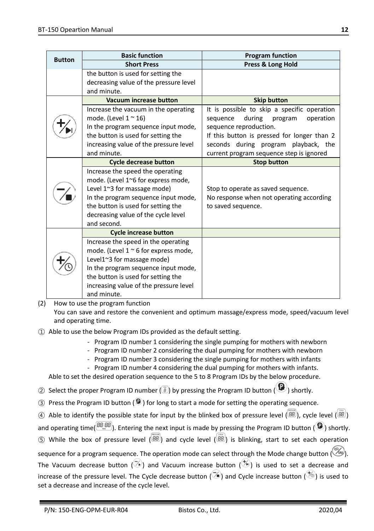| <b>Button</b> | <b>Basic function</b>                                                                                                                                                                                                                                   | <b>Program function</b>                                                                                                                                                                                                                                |
|---------------|---------------------------------------------------------------------------------------------------------------------------------------------------------------------------------------------------------------------------------------------------------|--------------------------------------------------------------------------------------------------------------------------------------------------------------------------------------------------------------------------------------------------------|
|               | <b>Short Press</b>                                                                                                                                                                                                                                      | Press & Long Hold                                                                                                                                                                                                                                      |
|               | the button is used for setting the<br>decreasing value of the pressure level<br>and minute.                                                                                                                                                             |                                                                                                                                                                                                                                                        |
|               | <b>Vacuum increase button</b>                                                                                                                                                                                                                           | <b>Skip button</b>                                                                                                                                                                                                                                     |
|               | Increase the vacuum in the operating<br>mode. (Level $1 \approx 16$ )<br>In the program sequence input mode,<br>the button is used for setting the<br>increasing value of the pressure level<br>and minute.                                             | It is possible to skip a specific operation<br>during<br>sequence<br>program<br>operation<br>sequence reproduction.<br>If this button is pressed for longer than 2<br>seconds during program playback, the<br>current program sequence step is ignored |
|               | <b>Cycle decrease button</b>                                                                                                                                                                                                                            | <b>Stop button</b>                                                                                                                                                                                                                                     |
|               | Increase the speed the operating<br>mode. (Level 1~6 for express mode,<br>Level 1~3 for massage mode)<br>In the program sequence input mode,<br>the button is used for setting the<br>decreasing value of the cycle level<br>and second.                | Stop to operate as saved sequence.<br>No response when not operating according<br>to saved sequence.                                                                                                                                                   |
|               | <b>Cycle increase button</b>                                                                                                                                                                                                                            |                                                                                                                                                                                                                                                        |
|               | Increase the speed in the operating<br>mode. (Level $1 \approx 6$ for express mode,<br>Level1~3 for massage mode)<br>In the program sequence input mode,<br>the button is used for setting the<br>increasing value of the pressure level<br>and minute. |                                                                                                                                                                                                                                                        |

(2) How to use the program function

You can save and restore the convenient and optimum massage/express mode, speed/vacuum level and operating time.

- ① Able to use the below Program IDs provided as the default setting.
	- Program ID number 1 considering the single pumping for mothers with newborn
	- Program ID number 2 considering the dual pumping for mothers with newborn
	- Program ID number 3 considering the single pumping for mothers with infants
	- Program ID number 4 considering the dual pumping for mothers with infants.

Able to set the desired operation sequence to the 5 to 8 Program IDs by the below procedure.

- 2 Select the proper Program ID number  $(\overline{B})$  by pressing the Program ID button  $(\overline{B})$  shortly.
- $\overline{a}$ ) Press the Program ID button ( $\overline{a}$ ) for long to start a mode for setting the operating sequence.
- ④ Able to identify the possible state for input by the blinked box of pressure level ( BB), cycle level ( BB)
- and operating time( $\frac{[8B:BB]}{[8B]}$ ). Entering the next input is made by pressing the Program ID button ( $\bullet$ ) shortly.
- $(S)$  While the box of pressure level  $(B)$  and cycle level  $(B)$  is blinking, start to set each operation  $\sim$

| sequence for a program sequence. The operation mode can select through the Mode change button $(\overline{\ll w})$ .                     |
|------------------------------------------------------------------------------------------------------------------------------------------|
| The Vacuum decrease button $(\sqrt[3]{})$ and Vacuum increase button $(\sqrt[4]{})$ is used to set a decrease and                        |
| increase of the pressure level. The Cycle decrease button $(\bar{\heartsuit})$ and Cycle increase button $(\bar{\heartsuit})$ is used to |
| set a decrease and increase of the cycle level.                                                                                          |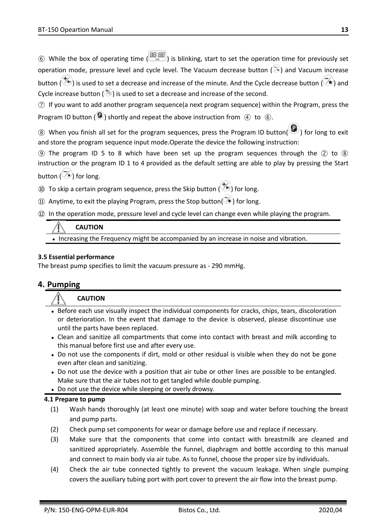$\hat{a}$ ) While the box of operating time  $\hat{a}$  is blinking, start to set the operation time for previously set operation mode, pressure level and cycle level. The Vacuum decrease button  $(\mathbb{Z})$  and Vacuum increase button ( $\langle \hat{\mathcal{D}} \rangle$ ) is used to set a decrease and increase of the minute. And the Cycle decrease button ( $\langle \hat{\mathcal{D}} \rangle$ ) and Cycle increase button ( $\gg$ ) is used to set a decrease and increase of the second.

⑦ If you want to add another program sequence(a next program sequence) within the Program, press the Program ID button ( $\bigcirc$ ) shortly and repeat the above instruction from  $\bigcirc$  to  $\bigcirc$ .

 $\circledR$  When you finish all set for the program sequences, press the Program ID button( $\circledR$ ) for long to exit and store the program sequence input mode.Operate the device the following instruction:

**(9)** The program ID 5 to 8 which have been set up the program sequences through the  $(2)$  to  $(8)$ instruction or the program ID 1 to 4 provided as the default setting are able to play by pressing the Start button  $(\mathbb{Z})$  for long.

⑩ To skip a certain program sequence, press the Skip button  $(\bigstar)$  for long.

- $\Omega$  Anytime, to exit the playing Program, press the Stop button( $\tilde{\triangledown}$ ) for long.
- ⑫ In the operation mode, pressure level and cycle level can change even while playing the program.

## **CAUTION**

Increasing the Frequency might be accompanied by an increase in noise and vibration.

#### **3.5 Essential performance**

The breast pump specifies to limit the vacuum pressure as - 290 mmHg.

## **4. Pumping**

#### **CAUTION**

- Before each use visually inspect the individual components for cracks, chips, tears, discoloration or deterioration. In the event that damage to the device is observed, please discontinue use until the parts have been replaced.
- Clean and sanitize all compartments that come into contact with breast and milk according to this manual before first use and after every use.
- Do not use the components if dirt, mold or other residual is visible when they do not be gone even after clean and sanitizing.
- Do not use the device with a position that air tube or other lines are possible to be entangled. Make sure that the air tubes not to get tangled while double pumping.
- Do not use the device while sleeping or overly drowsy.

#### **4.1 Prepare to pump**

- (1) Wash hands thoroughly (at least one minute) with soap and water before touching the breast and pump parts.
- (2) Check pump set components for wear or damage before use and replace if necessary.
- (3) Make sure that the components that come into contact with breastmilk are cleaned and sanitized appropriately. Assemble the funnel, diaphragm and bottle according to this manual and connect to main body via air tube. As to funnel, choose the proper size by individuals.
- (4) Check the air tube connected tightly to prevent the vacuum leakage. When single pumping covers the auxiliary tubing port with port cover to prevent the air flow into the breast pump.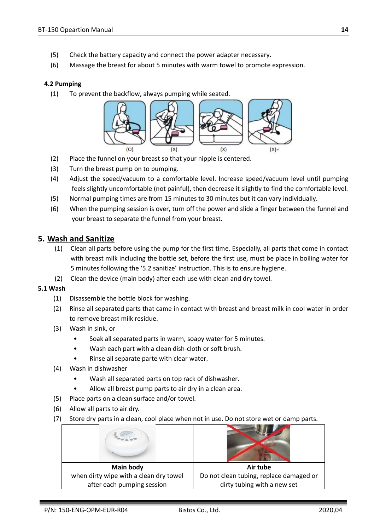- (5) Check the battery capacity and connect the power adapter necessary.
- (6) Massage the breast for about 5 minutes with warm towel to promote expression.

#### **4.2 Pumping**

(1) To prevent the backflow, always pumping while seated.



- (2) Place the funnel on your breast so that your nipple is centered.
- (3) Turn the breast pump on to pumping.
- (4) Adjust the speed/vacuum to a comfortable level. Increase speed/vacuum level until pumping feels slightly uncomfortable (not painful), then decrease it slightly to find the comfortable level.
- (5) Normal pumping times are from 15 minutes to 30 minutes but it can vary individually.
- (6) When the pumping session is over, turn off the power and slide a finger between the funnel and your breast to separate the funnel from your breast.

#### **5. Wash and Sanitize**

- (1) Clean all parts before using the pump for the first time. Especially, all parts that come in contact with breast milk including the bottle set, before the first use, must be place in boiling water for 5 minutes following the '5.2 sanitize' instruction. This is to ensure hygiene.
- (2) Clean the device (main body) after each use with clean and dry towel.

#### **5.1 Wash**

- (1) Disassemble the bottle block for washing.
- (2) Rinse all separated parts that came in contact with breast and breast milk in cool water in order to remove breast milk residue.
- (3) Wash in sink, or
	- Soak all separated parts in warm, soapy water for 5 minutes.
	- Wash each part with a clean dish-cloth or soft brush.
	- Rinse all separate parte with clear water.
- (4) Wash in dishwasher
	- Wash all separated parts on top rack of dishwasher.
	- Allow all breast pump parts to air dry in a clean area.
- (5) Place parts on a clean surface and/or towel.
- (6) Allow all parts to air dry.
- (7) Store dry parts in a clean, cool place when not in use. Do not store wet or damp parts.

| Main body                              | Air tube                                |
|----------------------------------------|-----------------------------------------|
| when dirty wipe with a clean dry towel | Do not clean tubing, replace damaged or |
| after each pumping session             | dirty tubing with a new set             |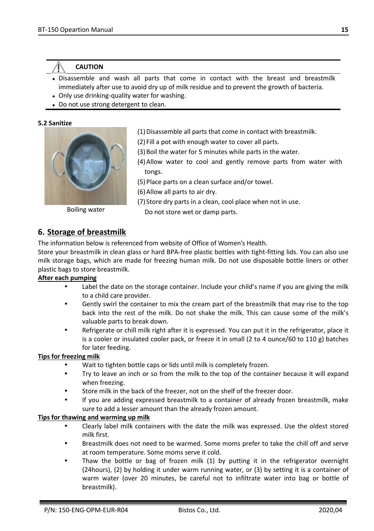## **CAUTION**

- Disassemble and wash all parts that come in contact with the breast and breastmilk immediately after use to avoid dry up of milk residue and to prevent the growth of bacteria.
- Only use drinking-quality water for washing.
- Do not use strong detergent to clean.

#### **5.2 Sanitize**



- (1) Disassemble all parts that come in contact with breastmilk.
- (2) Fill a pot with enough water to cover all parts.
- (3)Boil the water for 5 minutes while parts in the water.
- (4)Allow water to cool and gently remove parts from water with tongs.
- (5) Place parts on a clean surface and/or towel.
- (6)Allow all parts to air dry.
- (7) Store dry parts in a clean, cool place when not in use.

Do not store wet or damp parts. Boiling water

## **6. Storage of breastmilk**

The information below is referenced from website of Office of Women's Health.

Store your breastmilk in clean glass or hard BPA-free plastic bottles with tight-fitting lids. You can also use milk storage bags, which are made for freezing human milk. Do not use disposable bottle liners or other plastic bags to store breastmilk.

#### **After each pumping**

- Label the date on the storage container. Include your child's name if you are giving the milk to a child care provider.
- Gently swirl the container to mix the cream part of the breastmilk that may rise to the top back into the rest of the milk. Do not shake the milk. This can cause some of the milk's valuable parts to break down.
- Refrigerate or chill milk right after it is expressed. You can put it in the refrigerator, place it is a cooler or insulated cooler pack, or freeze it in small (2 to 4 ounce/60 to 110 g) batches for later feeding.

#### **Tips for freezing milk**

- Wait to tighten bottle caps or lids until milk is completely frozen.
- Try to leave an inch or so from the milk to the top of the container because it will expand when freezing.
- Store milk in the back of the freezer, not on the shelf of the freezer door.
- If you are adding expressed breastmilk to a container of already frozen breastmilk, make sure to add a lesser amount than the already frozen amount.

#### **Tips for thawing and warming up milk**

- Clearly label milk containers with the date the milk was expressed. Use the oldest stored milk first.
- Breastmilk does not need to be warmed. Some moms prefer to take the chill off and serve at room temperature. Some moms serve it cold.
- Thaw the bottle or bag of frozen milk (1) by putting it in the refrigerator overnight (24hours), (2) by holding it under warm running water, or (3) by setting it is a container of warm water (over 20 minutes, be careful not to infiltrate water into bag or bottle of breastmilk).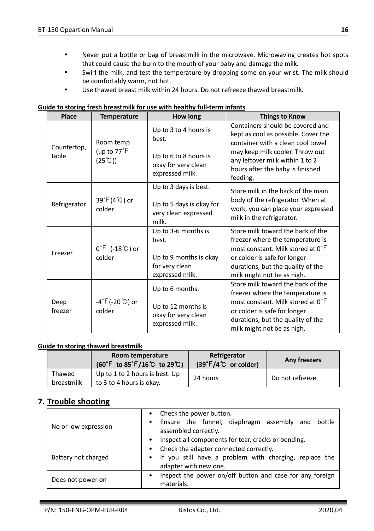- Never put a bottle or bag of breastmilk in the microwave. Microwaving creates hot spots that could cause the burn to the mouth of your baby and damage the milk.
- Swirl the milk, and test the temperature by dropping some on your wrist. The milk should be comfortably warm, not hot.
- Use thawed breast milk within 24 hours. Do not refreeze thawed breastmilk.

| Place           | <b>Temperature</b>                           | How long                                                                                    | <b>Things to Know</b>                                                                                                                                                                                         |
|-----------------|----------------------------------------------|---------------------------------------------------------------------------------------------|---------------------------------------------------------------------------------------------------------------------------------------------------------------------------------------------------------------|
| Countertop,     | Room temp<br>(up to 77°F                     | Up to 3 to 4 hours is<br>best.                                                              | Containers should be covered and<br>kept as cool as possible. Cover the<br>container with a clean cool towel<br>may keep milk cooler. Throw out                                                               |
| table           | $(25^{\circ}$ C))                            | Up to 6 to 8 hours is<br>okay for very clean<br>expressed milk.                             | any leftover milk within 1 to 2<br>hours after the baby is finished<br>feeding.                                                                                                                               |
| Refrigerator    | 39°F(4°C) or<br>colder                       | Up to 3 days is best.<br>Up to 5 days is okay for<br>very clean expressed<br>milk.          | Store milk in the back of the main<br>body of the refrigerator. When at<br>work, you can place your expressed<br>milk in the refrigerator.                                                                    |
| Freezer         | $0^{\circ}$ [ $-18^{\circ}$ C ) or<br>colder | Up to 3-6 months is<br>best.<br>Up to 9 months is okay<br>for very clean<br>expressed milk. | Store milk toward the back of the<br>freezer where the temperature is<br>most constant. Milk stored at 0°F<br>or colder is safe for longer<br>durations, but the quality of the<br>milk might not be as high. |
| Deep<br>freezer | -4°F(-20℃) or<br>colder                      | Up to 6 months.<br>Up to 12 months is<br>okay for very clean<br>expressed milk.             | Store milk toward the back of the<br>freezer where the temperature is<br>most constant. Milk stored at 0°F<br>or colder is safe for longer<br>durations, but the quality of the<br>milk might not be as high. |

# **Guide to storing fresh breastmilk for use with healthy full-term infants**

### **Guide to storing thawed breastmilk**

|                      | Room temperature<br>$(60^{\circ}$ F to 85 $^{\circ}$ F/16 $^{\circ}$ C to 29 $^{\circ}$ C) | Refrigerator<br>$(39^{\circ}F/4^{\circ}C)$ or colder) | Any freezers     |
|----------------------|--------------------------------------------------------------------------------------------|-------------------------------------------------------|------------------|
| Thawed<br>breastmilk | Up to 1 to 2 hours is best. Up<br>to 3 to 4 hours is okay.                                 | 24 hours                                              | Do not refreeze. |

## **7. Trouble shooting**

| No or low expression | Check the power button.<br>Ensure the funnel, diaphragm assembly and bottle<br>٠<br>assembled correctly.                    |  |  |  |
|----------------------|-----------------------------------------------------------------------------------------------------------------------------|--|--|--|
|                      | Inspect all components for tear, cracks or bending.<br>$\bullet$                                                            |  |  |  |
| Battery not charged  | • Check the adapter connected correctly.<br>If you still have a problem with charging, replace the<br>adapter with new one. |  |  |  |
| Does not power on    | Inspect the power on/off button and case for any foreign<br>٠<br>materials.                                                 |  |  |  |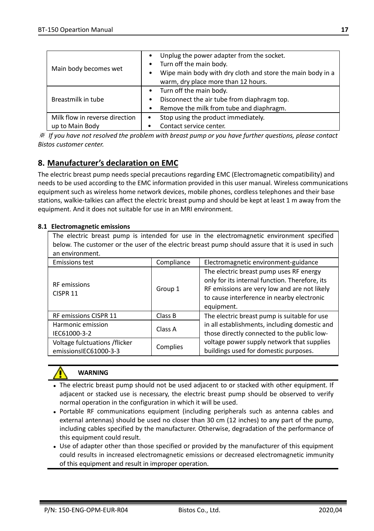| Main body becomes wet                             | Unplug the power adapter from the socket.<br>$\bullet$<br>Turn off the main body.<br>$\bullet$<br>Wipe main body with dry cloth and store the main body in a<br>٠<br>warm, dry place more than 12 hours. |
|---------------------------------------------------|----------------------------------------------------------------------------------------------------------------------------------------------------------------------------------------------------------|
| Breastmilk in tube                                | Turn off the main body.<br>٠<br>Disconnect the air tube from diaphragm top.<br>٠<br>Remove the milk from tube and diaphragm.<br>٠                                                                        |
| Milk flow in reverse direction<br>up to Main Body | Stop using the product immediately.<br>٠<br>Contact service center.<br>٠                                                                                                                                 |

※ *If you have not resolved the problem with breast pump or you have further questions, please contact Bistos customer center.*

# **8. Manufacturer's declaration on EMC**

The electric breast pump needs special precautions regarding EMC (Electromagnetic compatibility) and needs to be used according to the EMC information provided in this user manual. Wireless communications equipment such as wireless home network devices, mobile phones, cordless telephones and their base stations, walkie-talkies can affect the electric breast pump and should be kept at least 1 m away from the equipment. And it does not suitable for use in an MRI environment.

#### **8.1 Electromagnetic emissions**

The electric breast pump is intended for use in the electromagnetic environment specified below. The customer or the user of the electric breast pump should assure that it is used in such an environment.

| <b>Emissions test</b>                                  | Compliance | Electromagnetic environment-guidance                                                                                                                                                                  |
|--------------------------------------------------------|------------|-------------------------------------------------------------------------------------------------------------------------------------------------------------------------------------------------------|
| RF emissions<br>CISPR <sub>11</sub>                    | Group 1    | The electric breast pump uses RF energy<br>only for its internal function. Therefore, its<br>RF emissions are very low and are not likely<br>to cause interference in nearby electronic<br>equipment. |
| RF emissions CISPR 11                                  | Class B    | The electric breast pump is suitable for use                                                                                                                                                          |
| Harmonic emission<br>IEC61000-3-2                      | Class A    | in all establishments, including domestic and<br>those directly connected to the public low-                                                                                                          |
| Voltage fulctuations /flicker<br>emissionsIEC61000-3-3 | Complies   | voltage power supply network that supplies<br>buildings used for domestic purposes.                                                                                                                   |



### **WARNING**

- The electric breast pump should not be used adjacent to or stacked with other equipment. If adjacent or stacked use is necessary, the electric breast pump should be observed to verify normal operation in the configuration in which it will be used.
- Portable RF communications equipment (including peripherals such as antenna cables and external antennas) should be used no closer than 30 cm (12 inches) to any part of the pump, including cables specified by the manufacturer. Otherwise, degradation of the performance of this equipment could result.
- Use of adapter other than those specified or provided by the manufacturer of this equipment could results in increased electromagnetic emissions or decreased electromagnetic immunity of this equipment and result in improper operation.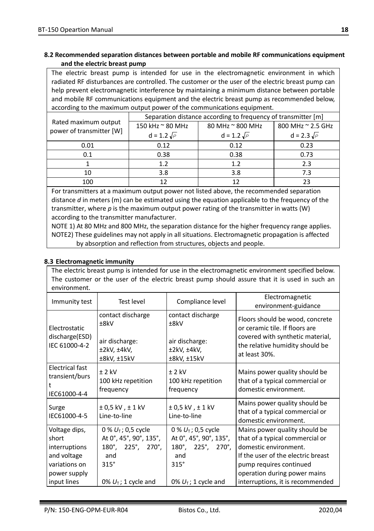#### **8.2 Recommended separation distances between portable and mobile RF communications equipment and the electric breast pump**

The electric breast pump is intended for use in the electromagnetic environment in which radiated RF disturbances are controlled. The customer or the user of the electric breast pump can help prevent electromagnetic interference by maintaining a minimum distance between portable and mobile RF communications equipment and the electric breast pump as recommended below, according to the maximum output power of the communications equipment.

|                          | Separation distance according to frequency of transmitter [m] |                    |                    |
|--------------------------|---------------------------------------------------------------|--------------------|--------------------|
| Rated maximum output     | 150 kHz ~ 80 MHz<br>80 MHz ~ 800 MHz                          |                    | 800 MHz ~ 2.5 GHz  |
| power of transmitter [W] | $d = 1.2 \sqrt{P}$                                            | $d = 1.2 \sqrt{P}$ | $d = 2.3 \sqrt{P}$ |
| 0.01                     | 0.12                                                          | 0.12               | 0.23               |
| 0.1                      | 0.38                                                          | 0.38               | 0.73               |
|                          | 1.2                                                           | 1.2                | 2.3                |
| 10                       | 3.8                                                           | 3.8                | 7.3                |
| 100                      | 12                                                            | 12                 | 23                 |

For transmitters at a maximum output power not listed above, the recommended separation distance *d* in meters (m) can be estimated using the equation applicable to the frequency of the transmitter, where *p* is the maximum output power rating of the transmitter in watts (W) according to the transmitter manufacturer.

NOTE 1) At 80 MHz and 800 MHz, the separation distance for the higher frequency range applies. NOTE2) These guidelines may not apply in all situations. Electromagnetic propagation is affected by absorption and reflection from structures, objects and people.

#### **8.3 Electromagnetic immunity**

The electric breast pump is intended for use in the electromagnetic environment specified below. The customer or the user of the electric breast pump should assure that it is used in such an environment.

| Immunity test                                                                                          | <b>Test level</b>                                                                                                                            | Compliance level                                                                                                                             | Electromagnetic<br>environment-guidance                                                                                                                                                                                        |
|--------------------------------------------------------------------------------------------------------|----------------------------------------------------------------------------------------------------------------------------------------------|----------------------------------------------------------------------------------------------------------------------------------------------|--------------------------------------------------------------------------------------------------------------------------------------------------------------------------------------------------------------------------------|
| Electrostatic<br>discharge(ESD)<br>IEC 61000-4-2                                                       | contact discharge<br>±8kV<br>air discharge:<br>±2kV, ±4kV,<br>±8kV, ±15kV                                                                    | contact discharge<br>±8kV<br>air discharge:<br>±2kV, ±4kV,<br>±8kV, ±15kV                                                                    | Floors should be wood, concrete<br>or ceramic tile. If floors are<br>covered with synthetic material,<br>the relative humidity should be<br>at least 30%.                                                                      |
| <b>Electrical fast</b><br>transient/burs<br>IEC61000-4-4                                               | $± 2$ kV<br>100 kHz repetition<br>frequency                                                                                                  | $± 2$ kV<br>100 kHz repetition<br>frequency                                                                                                  | Mains power quality should be<br>that of a typical commercial or<br>domestic environment.                                                                                                                                      |
| Surge<br>IEC61000-4-5                                                                                  | $\pm$ 0,5 kV, $\pm$ 1 kV<br>Line-to-line                                                                                                     | ± 0,5 kV, ± 1 kV<br>Line-to-line                                                                                                             | Mains power quality should be<br>that of a typical commercial or<br>domestic environment.                                                                                                                                      |
| Voltage dips,<br>short<br>interruptions<br>and voltage<br>variations on<br>power supply<br>input lines | 0 % $U_T$ ; 0,5 cycle<br>At 0°, 45°, 90°, 135°,<br>$180^\circ$ , $225^\circ$ , $270^\circ$ ,<br>and<br>$315^\circ$<br>0% $U_T$ ; 1 cycle and | 0 % $U_T$ ; 0,5 cycle<br>At 0°, 45°, 90°, 135°,<br>$180^\circ$ , $225^\circ$ , $270^\circ$ ,<br>and<br>$315^\circ$<br>0% $U_T$ ; 1 cycle and | Mains power quality should be<br>that of a typical commercial or<br>domestic environment.<br>If the user of the electric breast<br>pump requires continued<br>operation during power mains<br>interruptions, it is recommended |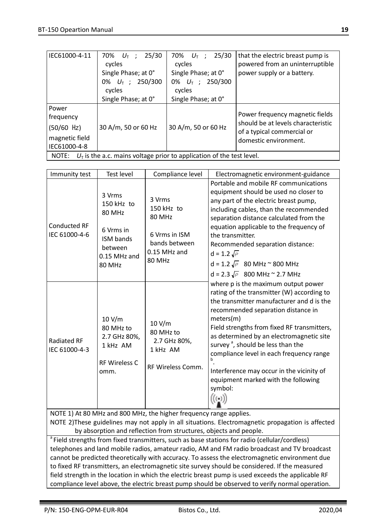| IEC61000-4-11                                                                 | 25/30<br>70% $U_{\text{T}}$ ;<br>cycles<br>Single Phase; at 0°<br>0% $U_T$ ; 250/300<br>cycles | 25/30<br>70% $U_{\text{T}}$ ;<br>cycles<br>Single Phase; at 0°<br>0% $U_T$ ; 250/300<br>cycles | that the electric breast pump is<br>powered from an uninterruptible<br>power supply or a battery.                            |
|-------------------------------------------------------------------------------|------------------------------------------------------------------------------------------------|------------------------------------------------------------------------------------------------|------------------------------------------------------------------------------------------------------------------------------|
|                                                                               | Single Phase; at 0°                                                                            | Single Phase; at 0°                                                                            |                                                                                                                              |
| Power<br>frequency<br>$(50/60$ Hz)<br>magnetic field<br>IEC61000-4-8          | 30 A/m, 50 or 60 Hz                                                                            | 30 A/m, 50 or 60 Hz                                                                            | Power frequency magnetic fields<br>should be at levels characteristic<br>of a typical commercial or<br>domestic environment. |
| NOTE: $U_T$ is the a.c. mains voltage prior to application of the test level. |                                                                                                |                                                                                                |                                                                                                                              |

| Immunity test                                                                                                                                                         | <b>Test level</b>                                                                                      | Compliance level                                                                           | Electromagnetic environment-guidance                                                                                                                                                                                                                                                                                                                                                                                                                                                         |  |
|-----------------------------------------------------------------------------------------------------------------------------------------------------------------------|--------------------------------------------------------------------------------------------------------|--------------------------------------------------------------------------------------------|----------------------------------------------------------------------------------------------------------------------------------------------------------------------------------------------------------------------------------------------------------------------------------------------------------------------------------------------------------------------------------------------------------------------------------------------------------------------------------------------|--|
| <b>Conducted RF</b><br>IEC 61000-4-6                                                                                                                                  | 3 Vrms<br>$150$ kHz to<br>80 MHz<br>6 Vrms in<br><b>ISM</b> bands<br>between<br>0.15 MHz and<br>80 MHz | 3 Vrms<br>150 kHz to<br>80 MHz<br>6 Vrms in ISM<br>bands between<br>0.15 MHz and<br>80 MHz | Portable and mobile RF communications<br>equipment should be used no closer to<br>any part of the electric breast pump,<br>including cables, than the recommended<br>separation distance calculated from the<br>equation applicable to the frequency of<br>the transmitter.<br>Recommended separation distance:<br>$d = 1.2 \sqrt{P}$<br>$d = 1.2 \sqrt{P}$ 80 MHz ~ 800 MHz<br>d = 2.3 $\sqrt{P}$ 800 MHz ~ 2.7 MHz                                                                         |  |
| <b>Radiated RF</b><br>IEC 61000-4-3                                                                                                                                   | 10 V/m<br>80 MHz to<br>2.7 GHz 80%.<br>1 kHz AM<br><b>RF Wireless C</b><br>omm.                        | 10 V/m<br>80 MHz to<br>2.7 GHz 80%,<br>1 kHz AM<br>RF Wireless Comm.                       | where p is the maximum output power<br>rating of the transmitter (W) according to<br>the transmitter manufacturer and d is the<br>recommended separation distance in<br>meters(m)<br>Field strengths from fixed RF transmitters,<br>as determined by an electromagnetic site<br>survey <sup>a</sup> , should be less than the<br>compliance level in each frequency range<br>b<br>Interference may occur in the vicinity of<br>equipment marked with the following<br>symbol:<br>$((\cdot))$ |  |
| NOTE 1) At 80 MHz and 800 MHz, the higher frequency range applies.                                                                                                    |                                                                                                        |                                                                                            |                                                                                                                                                                                                                                                                                                                                                                                                                                                                                              |  |
| NOTE 2)These guidelines may not apply in all situations. Electromagnetic propagation is affected<br>by absorption and reflection from structures, objects and people. |                                                                                                        |                                                                                            |                                                                                                                                                                                                                                                                                                                                                                                                                                                                                              |  |
| <sup>a</sup> Field strengths from fixed transmitters, such as base stations for radio (cellular/cordless)                                                             |                                                                                                        |                                                                                            |                                                                                                                                                                                                                                                                                                                                                                                                                                                                                              |  |
|                                                                                                                                                                       |                                                                                                        |                                                                                            |                                                                                                                                                                                                                                                                                                                                                                                                                                                                                              |  |
|                                                                                                                                                                       |                                                                                                        |                                                                                            | telephones and land mobile radios, amateur radio, AM and FM radio broadcast and TV broadcast<br>cannot be predicted theoretically with accuracy. To assess the electromagnetic environment due                                                                                                                                                                                                                                                                                               |  |

field strength in the location in which the electric breast pump is used exceeds the applicable RF compliance level above, the electric breast pump should be observed to verify normal operation.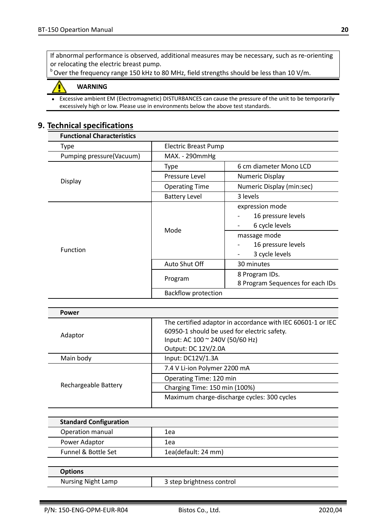If abnormal performance is observed, additional measures may be necessary, such as re-orienting or relocating the electric breast pump.

<sup>b</sup> Over the frequency range 150 kHz to 80 MHz, field strengths should be less than 10 V/m.

#### **WARNING**

 Excessive ambient EM (Electromagnetic) DISTURBANCES can cause the pressure of the unit to be temporarily excessively high or low. Please use in environments below the above test standards.

# **9. Technical specifications**

| <b>Functional Characteristics</b> |                            |                                                                                                                 |  |
|-----------------------------------|----------------------------|-----------------------------------------------------------------------------------------------------------------|--|
| Type                              | Electric Breast Pump       |                                                                                                                 |  |
| Pumping pressure(Vacuum)          | MAX. - 290mmHg             |                                                                                                                 |  |
|                                   | <b>Type</b>                | 6 cm diameter Mono LCD                                                                                          |  |
|                                   | Pressure Level             | Numeric Display                                                                                                 |  |
| Display                           | <b>Operating Time</b>      | Numeric Display (min:sec)                                                                                       |  |
|                                   | <b>Battery Level</b>       | 3 levels                                                                                                        |  |
| Function                          | Mode                       | expression mode<br>16 pressure levels<br>6 cycle levels<br>massage mode<br>16 pressure levels<br>3 cycle levels |  |
|                                   | Auto Shut Off              | 30 minutes                                                                                                      |  |
|                                   | Program                    | 8 Program IDs.<br>8 Program Sequences for each IDs                                                              |  |
|                                   | <b>Backflow protection</b> |                                                                                                                 |  |

| Power                |                                                                                                                                                                      |
|----------------------|----------------------------------------------------------------------------------------------------------------------------------------------------------------------|
| Adaptor              | The certified adaptor in accordance with IEC 60601-1 or IEC<br>60950-1 should be used for electric safety.<br>Input: AC 100 ~ 240V (50/60 Hz)<br>Output: DC 12V/2.0A |
| Main body            | Input: DC12V/1.3A                                                                                                                                                    |
| Rechargeable Battery | 7.4 V Li-ion Polymer 2200 mA                                                                                                                                         |
|                      | Operating Time: 120 min                                                                                                                                              |
|                      | Charging Time: 150 min (100%)                                                                                                                                        |
|                      | Maximum charge-discharge cycles: 300 cycles                                                                                                                          |
|                      |                                                                                                                                                                      |

| <b>Standard Configuration</b> |                     |
|-------------------------------|---------------------|
| Operation manual              | 1ea                 |
| Power Adaptor                 | 1ea                 |
| Funnel & Bottle Set           | 1ea(default: 24 mm) |

| <b>Options</b>            |                           |
|---------------------------|---------------------------|
| <b>Nursing Night Lamp</b> | 3 step brightness control |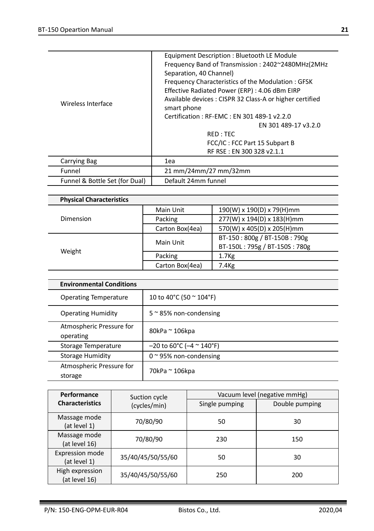| Wireless Interface             | Equipment Description: Bluetooth LE Module<br>Frequency Band of Transmission: 2402~2480MHz(2MHz)<br>Separation, 40 Channel)<br>Frequency Characteristics of the Modulation: GFSK<br>Effective Radiated Power (ERP) : 4.06 dBm EIRP<br>Available devices: CISPR 32 Class-A or higher certified<br>smart phone<br>Certification: RF-EMC: EN 301 489-1 v2.2.0<br>EN 301 489-17 v3.2.0<br>RED: TEC<br>FCC/IC: FCC Part 15 Subpart B<br>RF RSE: EN 300 328 v2.1.1 |
|--------------------------------|--------------------------------------------------------------------------------------------------------------------------------------------------------------------------------------------------------------------------------------------------------------------------------------------------------------------------------------------------------------------------------------------------------------------------------------------------------------|
| <b>Carrying Bag</b>            | 1ea                                                                                                                                                                                                                                                                                                                                                                                                                                                          |
| Funnel                         | 21 mm/24mm/27 mm/32mm                                                                                                                                                                                                                                                                                                                                                                                                                                        |
| Funnel & Bottle Set (for Dual) | Default 24mm funnel                                                                                                                                                                                                                                                                                                                                                                                                                                          |

| Main Unit       | 190(W) x 190(D) x 79(H)mm     |  |
|-----------------|-------------------------------|--|
| Packing         | 277(W) x 194(D) x 183(H)mm    |  |
| Carton Box(4ea) | 570(W) x 405(D) x 205(H)mm    |  |
| Main Unit       | BT-150:800g / BT-150B:790g    |  |
|                 | BT-150L: 795g / BT-150S: 780g |  |
| Packing         | 1.7 <sub>Kg</sub>             |  |
| Carton Box(4ea) | 7.4Kg                         |  |
|                 |                               |  |

| <b>Environmental Conditions</b>       |                                    |  |
|---------------------------------------|------------------------------------|--|
| <b>Operating Temperature</b>          | 10 to 40°C (50 ~ 104°F)            |  |
| <b>Operating Humidity</b>             | $5 \approx 85\%$ non-condensing    |  |
| Atmospheric Pressure for<br>operating | 80kPa ~ 106kpa                     |  |
| Storage Temperature                   | $-20$ to 60°C ( $-4$ $\sim$ 140°F) |  |
| <b>Storage Humidity</b>               | $0 \approx 95\%$ non-condensing    |  |
| Atmospheric Pressure for<br>storage   | 70kPa ~ 106kpa                     |  |

| Performance                            | Suction cycle     | Vacuum level (negative mmHg) |                |
|----------------------------------------|-------------------|------------------------------|----------------|
| <b>Characteristics</b>                 | (cycles/min)      | Single pumping               | Double pumping |
| Massage mode<br>(at level 1)           | 70/80/90          | 50                           | 30             |
| Massage mode<br>(at level 16)          | 70/80/90          | 230                          | 150            |
| <b>Expression mode</b><br>(at level 1) | 35/40/45/50/55/60 | 50                           | 30             |
| High expression<br>(at level 16)       | 35/40/45/50/55/60 | 250                          | 200            |